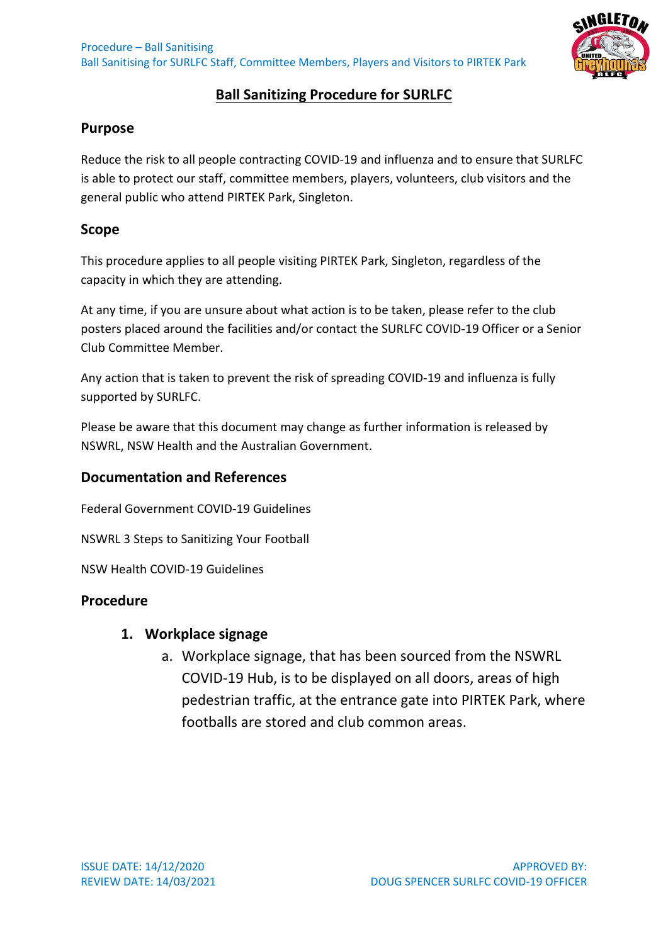

## **Ball Sanitizing Procedure for SURLFC**

### **Purpose**

Reduce the risk to all people contracting COVID-19 and influenza and to ensure that SURLFC is able to protect our staff, committee members, players, volunteers, club visitors and the general public who attend PIRTEK Park, Singleton.

#### **Scope**

This procedure applies to all people visiting PIRTEK Park, Singleton, regardless of the capacity in which they are attending.

At any time, if you are unsure about what action is to be taken, please refer to the club posters placed around the facilities and/or contact the SURLFC COVID-19 Officer or a Senior Club Committee Member.

Any action that is taken to prevent the risk of spreading COVID-19 and influenza is fully supported by SURLFC.

Please be aware that this document may change as further information is released by NSWRL, NSW Health and the Australian Government.

#### **Documentation and References**

Federal Government COVID-19 Guidelines

NSWRL 3 Steps to Sanitizing Your Football

NSW Health COVID-19 Guidelines

#### **Procedure**

#### **1. Workplace signage**

a. Workplace signage, that has been sourced from the NSWRL COVID-19 Hub, is to be displayed on all doors, areas of high pedestrian traffic, at the entrance gate into PIRTEK Park, where footballs are stored and club common areas.